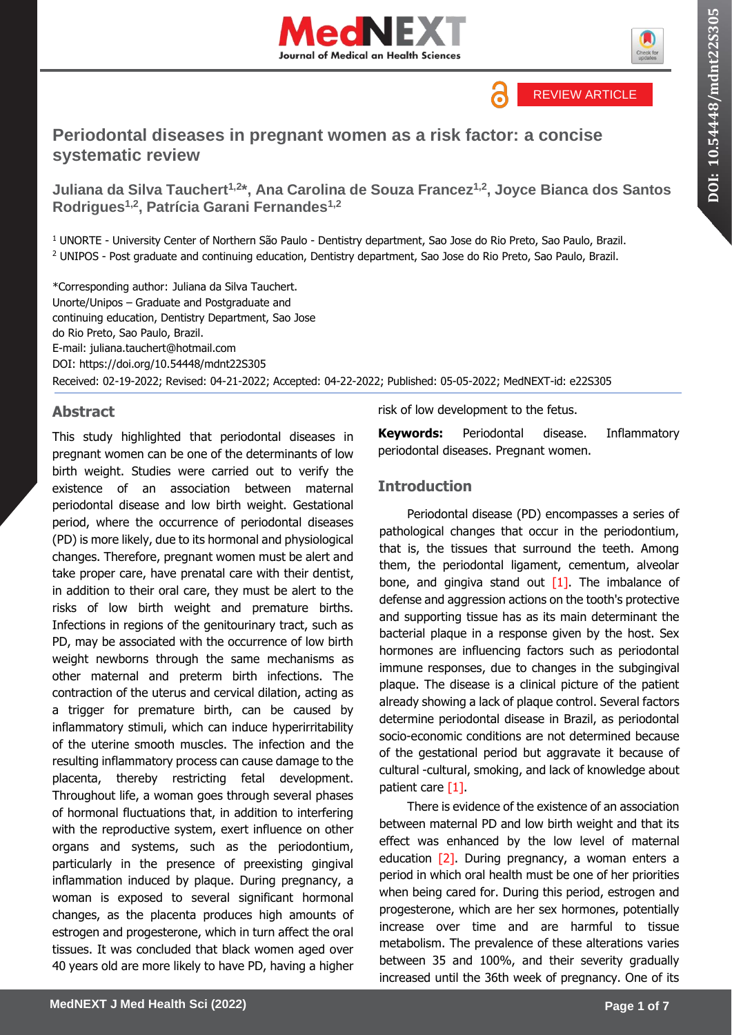





# **Periodontal diseases in pregnant women as a risk factor: a concise systematic review**

**Juliana da Silva Tauchert1,2\*, Ana Carolina de Souza Francez1,2, Joyce Bianca dos Santos Rodrigues1,2, Patrícia Garani Fernandes1,2**

<sup>1</sup> UNORTE - University Center of Northern São Paulo - Dentistry department, Sao Jose do Rio Preto, Sao Paulo, Brazil. <sup>2</sup> UNIPOS - Post graduate and continuing education, Dentistry department, Sao Jose do Rio Preto, Sao Paulo, Brazil.

\*Corresponding author: Juliana da Silva Tauchert. Unorte/Unipos – Graduate and Postgraduate and continuing education, Dentistry Department, Sao Jose do Rio Preto, Sao Paulo, Brazil. E-mail: juliana.tauchert@hotmail.com DOI:<https://doi.org/10.54448/mdnt22S305> Received: 02-19-2022; Revised: 04-21-2022; Accepted: 04-22-2022; Published: 05-05-2022; MedNEXT-id: e22S305

#### **Abstract**

This study highlighted that periodontal diseases in pregnant women can be one of the determinants of low birth weight. Studies were carried out to verify the existence of an association between maternal periodontal disease and low birth weight. Gestational period, where the occurrence of periodontal diseases (PD) is more likely, due to its hormonal and physiological changes. Therefore, pregnant women must be alert and take proper care, have prenatal care with their dentist, in addition to their oral care, they must be alert to the risks of low birth weight and premature births. Infections in regions of the genitourinary tract, such as PD, may be associated with the occurrence of low birth weight newborns through the same mechanisms as other maternal and preterm birth infections. The contraction of the uterus and cervical dilation, acting as a trigger for premature birth, can be caused by inflammatory stimuli, which can induce hyperirritability of the uterine smooth muscles. The infection and the resulting inflammatory process can cause damage to the placenta, thereby restricting fetal development. Throughout life, a woman goes through several phases of hormonal fluctuations that, in addition to interfering with the reproductive system, exert influence on other organs and systems, such as the periodontium, particularly in the presence of preexisting gingival inflammation induced by plaque. During pregnancy, a woman is exposed to several significant hormonal changes, as the placenta produces high amounts of estrogen and progesterone, which in turn affect the oral tissues. It was concluded that black women aged over 40 years old are more likely to have PD, having a higher

risk of low development to the fetus.

**Keywords:** Periodontal disease. Inflammatory periodontal diseases. Pregnant women.

# **Introduction**

Periodontal disease (PD) encompasses a series of pathological changes that occur in the periodontium, that is, the tissues that surround the teeth. Among them, the periodontal ligament, cementum, alveolar bone, and gingiva stand out  $[1]$ . The imbalance of defense and aggression actions on the tooth's protective and supporting tissue has as its main determinant the bacterial plaque in a response given by the host. Sex hormones are influencing factors such as periodontal immune responses, due to changes in the subgingival plaque. The disease is a clinical picture of the patient already showing a lack of plaque control. Several factors determine periodontal disease in Brazil, as periodontal socio-economic conditions are not determined because of the gestational period but aggravate it because of cultural -cultural, smoking, and lack of knowledge about patient care [1].

There is evidence of the existence of an association between maternal PD and low birth weight and that its effect was enhanced by the low level of maternal education  $[2]$ . During pregnancy, a woman enters a period in which oral health must be one of her priorities when being cared for. During this period, estrogen and progesterone, which are her sex hormones, potentially increase over time and are harmful to tissue metabolism. The prevalence of these alterations varies between 35 and 100%, and their severity gradually increased until the 36th week of pregnancy. One of its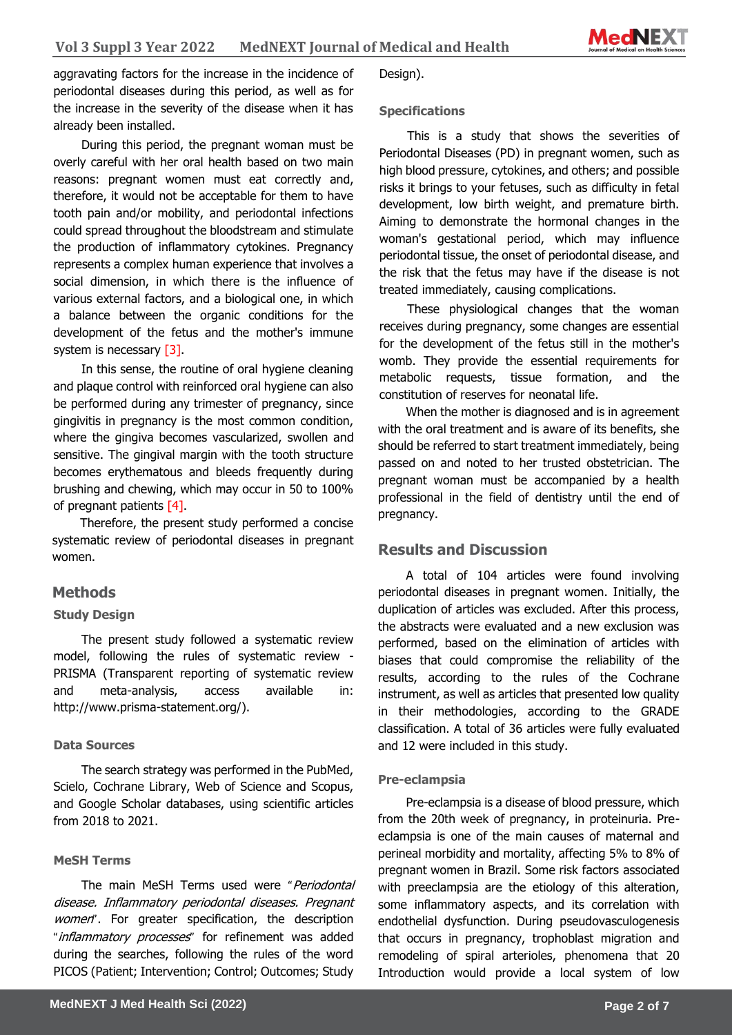**Sciences** aggravating factors for the increase in the incidence of periodontal diseases during this period, as well as for the increase in the severity of the disease when it has already been installed.

During this period, the pregnant woman must be overly careful with her oral health based on two main reasons: pregnant women must eat correctly and, therefore, it would not be acceptable for them to have tooth pain and/or mobility, and periodontal infections could spread throughout the bloodstream and stimulate the production of inflammatory cytokines. Pregnancy represents a complex human experience that involves a social dimension, in which there is the influence of various external factors, and a biological one, in which a balance between the organic conditions for the development of the fetus and the mother's immune system is necessary [3].

In this sense, the routine of oral hygiene cleaning and plaque control with reinforced oral hygiene can also be performed during any trimester of pregnancy, since gingivitis in pregnancy is the most common condition, where the gingiva becomes vascularized, swollen and sensitive. The gingival margin with the tooth structure becomes erythematous and bleeds frequently during brushing and chewing, which may occur in 50 to 100% of pregnant patients [4].

Therefore, the present study performed a concise systematic review of periodontal diseases in pregnant women.

# **Methods**

#### **Study Design**

The present study followed a systematic review model, following the rules of systematic review - PRISMA (Transparent reporting of systematic review and meta-analysis, access available in: http://www.prisma-statement.org/).

#### **Data Sources**

The search strategy was performed in the PubMed, Scielo, Cochrane Library, Web of Science and Scopus, and Google Scholar databases, using scientific articles from 2018 to 2021.

#### **MeSH Terms**

The main MeSH Terms used were "Periodontal disease. Inflammatory periodontal diseases. Pregnant women". For greater specification, the description "inflammatory processes" for refinement was added during the searches, following the rules of the word PICOS (Patient; Intervention; Control; Outcomes; Study

#### **Specifications**

This is a study that shows the severities of Periodontal Diseases (PD) in pregnant women, such as high blood pressure, cytokines, and others; and possible risks it brings to your fetuses, such as difficulty in fetal development, low birth weight, and premature birth. Aiming to demonstrate the hormonal changes in the woman's gestational period, which may influence periodontal tissue, the onset of periodontal disease, and the risk that the fetus may have if the disease is not treated immediately, causing complications.

These physiological changes that the woman receives during pregnancy, some changes are essential for the development of the fetus still in the mother's womb. They provide the essential requirements for metabolic requests, tissue formation, and the constitution of reserves for neonatal life.

When the mother is diagnosed and is in agreement with the oral treatment and is aware of its benefits, she should be referred to start treatment immediately, being passed on and noted to her trusted obstetrician. The pregnant woman must be accompanied by a health professional in the field of dentistry until the end of pregnancy.

# **Results and Discussion**

A total of 104 articles were found involving periodontal diseases in pregnant women. Initially, the duplication of articles was excluded. After this process, the abstracts were evaluated and a new exclusion was performed, based on the elimination of articles with biases that could compromise the reliability of the results, according to the rules of the Cochrane instrument, as well as articles that presented low quality in their methodologies, according to the GRADE classification. A total of 36 articles were fully evaluated and 12 were included in this study.

#### **Pre-eclampsia**

Pre-eclampsia is a disease of blood pressure, which from the 20th week of pregnancy, in proteinuria. Preeclampsia is one of the main causes of maternal and perineal morbidity and mortality, affecting 5% to 8% of pregnant women in Brazil. Some risk factors associated with preeclampsia are the etiology of this alteration, some inflammatory aspects, and its correlation with endothelial dysfunction. During pseudovasculogenesis that occurs in pregnancy, trophoblast migration and remodeling of spiral arterioles, phenomena that 20 Introduction would provide a local system of low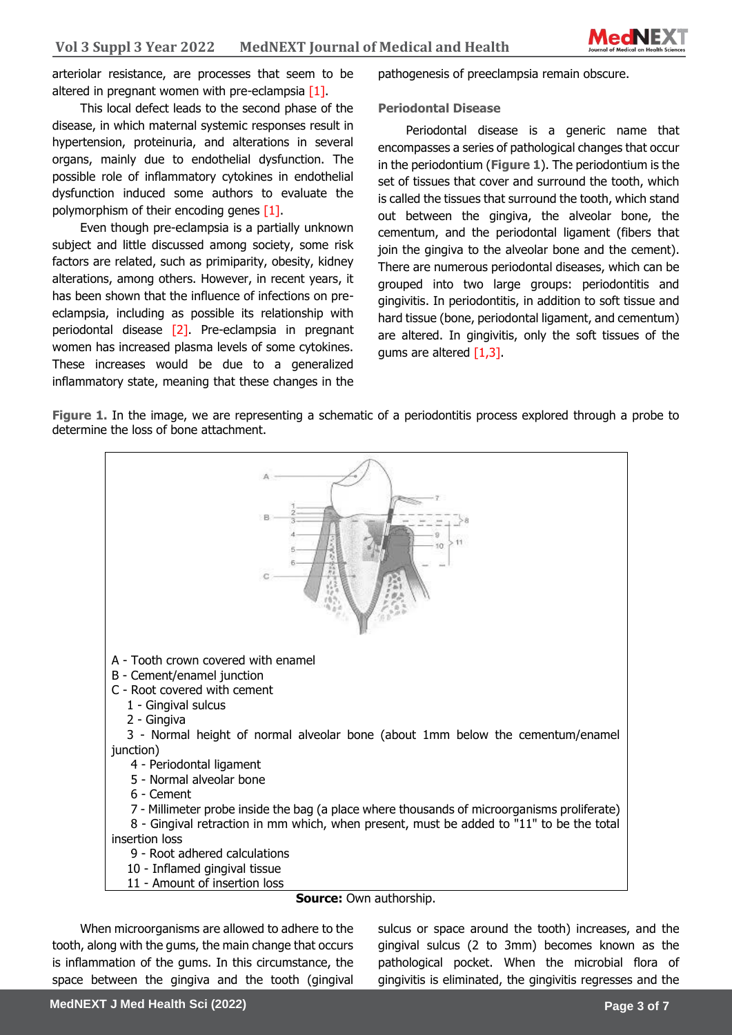

arteriolar resistance, are processes that seem to be altered in pregnant women with pre-eclampsia  $[1]$ .

This local defect leads to the second phase of the disease, in which maternal systemic responses result in hypertension, proteinuria, and alterations in several organs, mainly due to endothelial dysfunction. The possible role of inflammatory cytokines in endothelial dysfunction induced some authors to evaluate the polymorphism of their encoding genes [1].

Even though pre-eclampsia is a partially unknown subject and little discussed among society, some risk factors are related, such as primiparity, obesity, kidney alterations, among others. However, in recent years, it has been shown that the influence of infections on preeclampsia, including as possible its relationship with periodontal disease [2]. Pre-eclampsia in pregnant women has increased plasma levels of some cytokines. These increases would be due to a generalized inflammatory state, meaning that these changes in the pathogenesis of preeclampsia remain obscure.

#### **Periodontal Disease**

Periodontal disease is a generic name that encompasses a series of pathological changes that occur in the periodontium (**Figure 1**). The periodontium is the set of tissues that cover and surround the tooth, which is called the tissues that surround the tooth, which stand out between the gingiva, the alveolar bone, the cementum, and the periodontal ligament (fibers that join the gingiva to the alveolar bone and the cement). There are numerous periodontal diseases, which can be grouped into two large groups: periodontitis and gingivitis. In periodontitis, in addition to soft tissue and hard tissue (bone, periodontal ligament, and cementum) are altered. In gingivitis, only the soft tissues of the gums are altered [1,3].

**Figure 1.** In the image, we are representing a schematic of a periodontitis process explored through a probe to determine the loss of bone attachment.



When microorganisms are allowed to adhere to the tooth, along with the gums, the main change that occurs is inflammation of the gums. In this circumstance, the space between the gingiva and the tooth (gingival sulcus or space around the tooth) increases, and the gingival sulcus (2 to 3mm) becomes known as the pathological pocket. When the microbial flora of gingivitis is eliminated, the gingivitis regresses and the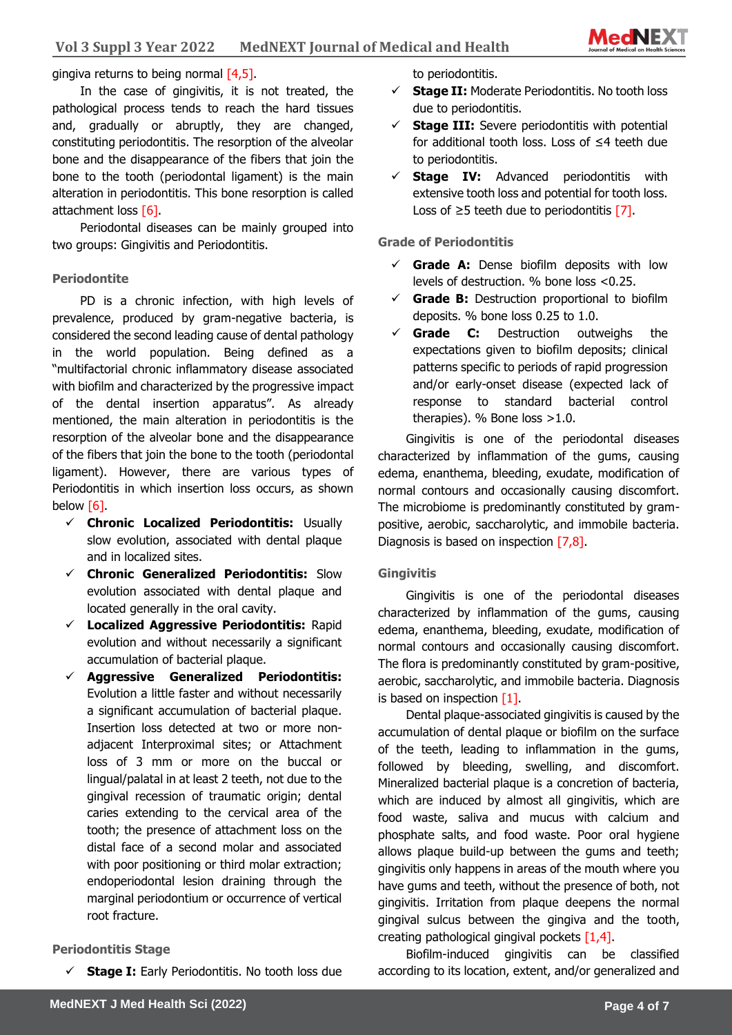

# **Sciences** gingiva returns to being normal [4,5].

In the case of gingivitis, it is not treated, the pathological process tends to reach the hard tissues and, gradually or abruptly, they are changed, constituting periodontitis. The resorption of the alveolar bone and the disappearance of the fibers that join the bone to the tooth (periodontal ligament) is the main alteration in periodontitis. This bone resorption is called attachment loss [6].

Periodontal diseases can be mainly grouped into two groups: Gingivitis and Periodontitis.

#### **Periodontite**

PD is a chronic infection, with high levels of prevalence, produced by gram-negative bacteria, is considered the second leading cause of dental pathology in the world population. Being defined as a "multifactorial chronic inflammatory disease associated with biofilm and characterized by the progressive impact of the dental insertion apparatus". As already mentioned, the main alteration in periodontitis is the resorption of the alveolar bone and the disappearance of the fibers that join the bone to the tooth (periodontal ligament). However, there are various types of Periodontitis in which insertion loss occurs, as shown below [6].

- ✓ **Chronic Localized Periodontitis:** Usually slow evolution, associated with dental plaque and in localized sites.
- ✓ **Chronic Generalized Periodontitis:** Slow evolution associated with dental plaque and located generally in the oral cavity.
- ✓ **Localized Aggressive Periodontitis:** Rapid evolution and without necessarily a significant accumulation of bacterial plaque.
- ✓ **Aggressive Generalized Periodontitis:** Evolution a little faster and without necessarily a significant accumulation of bacterial plaque. Insertion loss detected at two or more nonadjacent Interproximal sites; or Attachment loss of 3 mm or more on the buccal or lingual/palatal in at least 2 teeth, not due to the gingival recession of traumatic origin; dental caries extending to the cervical area of the tooth; the presence of attachment loss on the distal face of a second molar and associated with poor positioning or third molar extraction; endoperiodontal lesion draining through the marginal periodontium or occurrence of vertical root fracture.

#### **Periodontitis Stage**

**Stage I:** Early Periodontitis. No tooth loss due

to periodontitis.

- ✓ **Stage II:** Moderate Periodontitis. No tooth loss due to periodontitis.
- $\checkmark$  **Stage III:** Severe periodontitis with potential for additional tooth loss. Loss of ≤4 teeth due to periodontitis.
- ✓ **Stage IV:** Advanced periodontitis with extensive tooth loss and potential for tooth loss. Loss of  $≥5$  teeth due to periodontitis [7].

#### **Grade of Periodontitis**

- $\checkmark$  **Grade A:** Dense biofilm deposits with low levels of destruction. % bone loss <0.25.
- $\checkmark$  **Grade B:** Destruction proportional to biofilm deposits. % bone loss 0.25 to 1.0.
- ✓ **Grade C:** Destruction outweighs the expectations given to biofilm deposits; clinical patterns specific to periods of rapid progression and/or early-onset disease (expected lack of response to standard bacterial control therapies). % Bone loss >1.0.

Gingivitis is one of the periodontal diseases characterized by inflammation of the gums, causing edema, enanthema, bleeding, exudate, modification of normal contours and occasionally causing discomfort. The microbiome is predominantly constituted by grampositive, aerobic, saccharolytic, and immobile bacteria. Diagnosis is based on inspection  $[7,8]$ .

#### **Gingivitis**

Gingivitis is one of the periodontal diseases characterized by inflammation of the gums, causing edema, enanthema, bleeding, exudate, modification of normal contours and occasionally causing discomfort. The flora is predominantly constituted by gram-positive, aerobic, saccharolytic, and immobile bacteria. Diagnosis is based on inspection  $[1]$ .

Dental plaque-associated gingivitis is caused by the accumulation of dental plaque or biofilm on the surface of the teeth, leading to inflammation in the gums, followed by bleeding, swelling, and discomfort. Mineralized bacterial plaque is a concretion of bacteria, which are induced by almost all gingivitis, which are food waste, saliva and mucus with calcium and phosphate salts, and food waste. Poor oral hygiene allows plaque build-up between the gums and teeth; gingivitis only happens in areas of the mouth where you have gums and teeth, without the presence of both, not gingivitis. Irritation from plaque deepens the normal gingival sulcus between the gingiva and the tooth, creating pathological gingival pockets  $[1,4]$ .

Biofilm-induced gingivitis can be classified according to its location, extent, and/or generalized and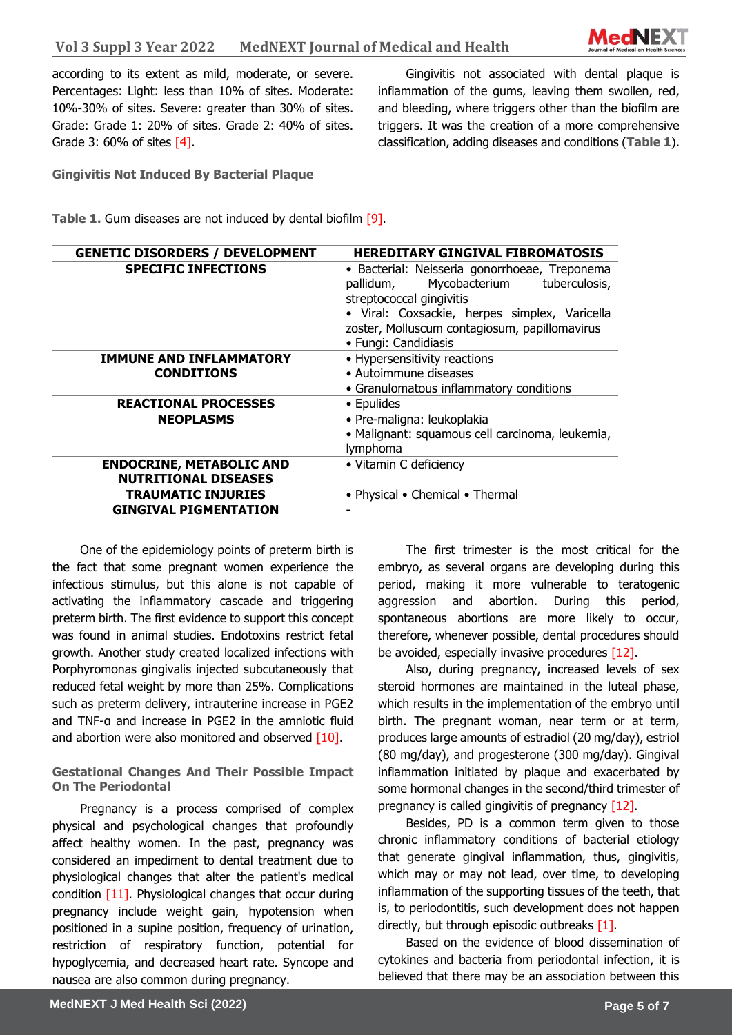

according to its extent as mild, moderate, or severe. Percentages: Light: less than 10% of sites. Moderate: 10%-30% of sites. Severe: greater than 30% of sites. Grade: Grade 1: 20% of sites. Grade 2: 40% of sites. Grade 3: 60% of sites [4].

Gingivitis not associated with dental plaque is inflammation of the gums, leaving them swollen, red, and bleeding, where triggers other than the biofilm are triggers. It was the creation of a more comprehensive classification, adding diseases and conditions (**Table 1**).

**Gingivitis Not Induced By Bacterial Plaque**

**Table 1.** Gum diseases are not induced by dental biofilm [9].

| <b>GENETIC DISORDERS / DEVELOPMENT</b>                         | <b>HEREDITARY GINGIVAL FIBROMATOSIS</b>                                                                                                                                                                                                            |
|----------------------------------------------------------------|----------------------------------------------------------------------------------------------------------------------------------------------------------------------------------------------------------------------------------------------------|
| <b>SPECIFIC INFECTIONS</b>                                     | · Bacterial: Neisseria gonorrhoeae, Treponema<br>Mycobacterium<br>tuberculosis,<br>pallidum,<br>streptococcal gingivitis<br>· Viral: Coxsackie, herpes simplex, Varicella<br>zoster, Molluscum contagiosum, papillomavirus<br>• Fungi: Candidiasis |
| <b>IMMUNE AND INFLAMMATORY</b><br><b>CONDITIONS</b>            | • Hypersensitivity reactions<br>• Autoimmune diseases<br>• Granulomatous inflammatory conditions                                                                                                                                                   |
| <b>REACTIONAL PROCESSES</b>                                    | • Epulides                                                                                                                                                                                                                                         |
| <b>NEOPLASMS</b>                                               | · Pre-maligna: leukoplakia<br>· Malignant: squamous cell carcinoma, leukemia,<br>lymphoma                                                                                                                                                          |
| <b>ENDOCRINE, METABOLIC AND</b><br><b>NUTRITIONAL DISEASES</b> | • Vitamin C deficiency                                                                                                                                                                                                                             |
| <b>TRAUMATIC INJURIES</b>                                      | • Physical • Chemical • Thermal                                                                                                                                                                                                                    |
| <b>GINGIVAL PIGMENTATION</b>                                   |                                                                                                                                                                                                                                                    |

One of the epidemiology points of preterm birth is the fact that some pregnant women experience the infectious stimulus, but this alone is not capable of activating the inflammatory cascade and triggering preterm birth. The first evidence to support this concept was found in animal studies. Endotoxins restrict fetal growth. Another study created localized infections with Porphyromonas gingivalis injected subcutaneously that reduced fetal weight by more than 25%. Complications such as preterm delivery, intrauterine increase in PGE2 and TNF-α and increase in PGE2 in the amniotic fluid and abortion were also monitored and observed  $[10]$ .

**Gestational Changes And Their Possible Impact On The Periodontal**

Pregnancy is a process comprised of complex physical and psychological changes that profoundly affect healthy women. In the past, pregnancy was considered an impediment to dental treatment due to physiological changes that alter the patient's medical condition [11]. Physiological changes that occur during pregnancy include weight gain, hypotension when positioned in a supine position, frequency of urination, restriction of respiratory function, potential for hypoglycemia, and decreased heart rate. Syncope and nausea are also common during pregnancy.

The first trimester is the most critical for the embryo, as several organs are developing during this period, making it more vulnerable to teratogenic aggression and abortion. During this period, spontaneous abortions are more likely to occur, therefore, whenever possible, dental procedures should be avoided, especially invasive procedures  $[12]$ .

Also, during pregnancy, increased levels of sex steroid hormones are maintained in the luteal phase, which results in the implementation of the embryo until birth. The pregnant woman, near term or at term, produces large amounts of estradiol (20 mg/day), estriol (80 mg/day), and progesterone (300 mg/day). Gingival inflammation initiated by plaque and exacerbated by some hormonal changes in the second/third trimester of pregnancy is called gingivitis of pregnancy [12].

Besides, PD is a common term given to those chronic inflammatory conditions of bacterial etiology that generate gingival inflammation, thus, gingivitis, which may or may not lead, over time, to developing inflammation of the supporting tissues of the teeth, that is, to periodontitis, such development does not happen directly, but through episodic outbreaks [1].

Based on the evidence of blood dissemination of cytokines and bacteria from periodontal infection, it is believed that there may be an association between this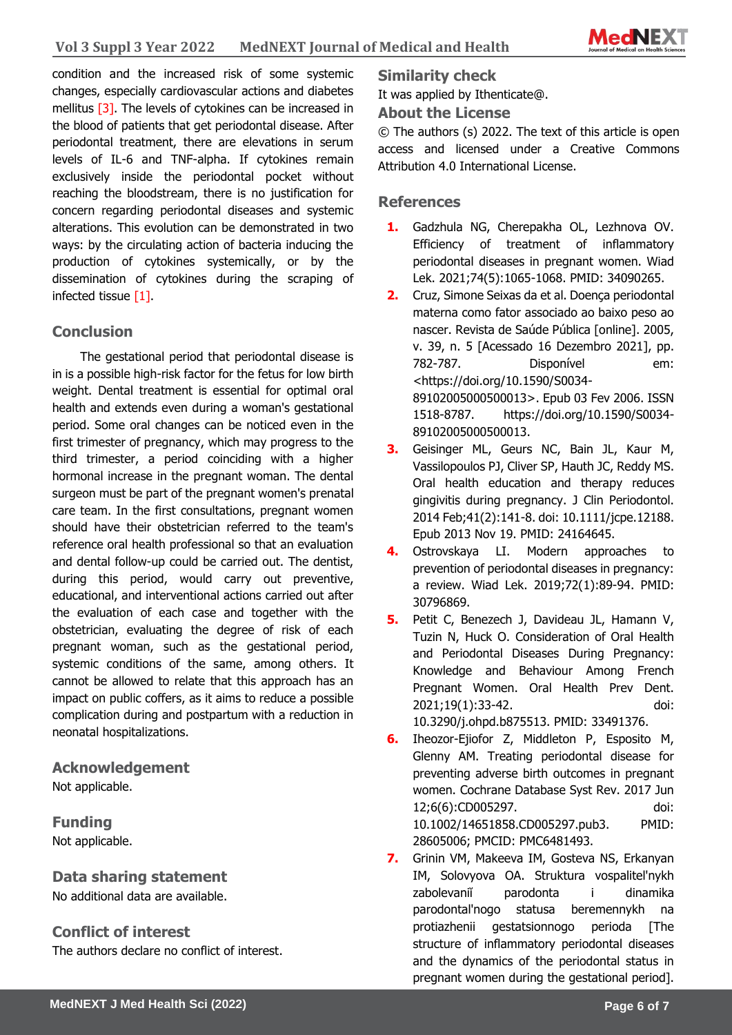

condition and the increased risk of some systemic changes, especially cardiovascular actions and diabetes mellitus [3]. The levels of cytokines can be increased in the blood of patients that get periodontal disease. After periodontal treatment, there are elevations in serum levels of IL-6 and TNF-alpha. If cytokines remain exclusively inside the periodontal pocket without reaching the bloodstream, there is no justification for concern regarding periodontal diseases and systemic alterations. This evolution can be demonstrated in two ways: by the circulating action of bacteria inducing the production of cytokines systemically, or by the dissemination of cytokines during the scraping of infected tissue [1].

# **Conclusion**

The gestational period that periodontal disease is in is a possible high-risk factor for the fetus for low birth weight. Dental treatment is essential for optimal oral health and extends even during a woman's gestational period. Some oral changes can be noticed even in the first trimester of pregnancy, which may progress to the third trimester, a period coinciding with a higher hormonal increase in the pregnant woman. The dental surgeon must be part of the pregnant women's prenatal care team. In the first consultations, pregnant women should have their obstetrician referred to the team's reference oral health professional so that an evaluation and dental follow-up could be carried out. The dentist, during this period, would carry out preventive, educational, and interventional actions carried out after the evaluation of each case and together with the obstetrician, evaluating the degree of risk of each pregnant woman, such as the gestational period, systemic conditions of the same, among others. It cannot be allowed to relate that this approach has an impact on public coffers, as it aims to reduce a possible complication during and postpartum with a reduction in neonatal hospitalizations.

# **Acknowledgement**

Not applicable.

**Funding** Not applicable.

# **Data sharing statement**

No additional data are available.

# **Conflict of interest**

The authors declare no conflict of interest.

**Similarity check** 

It was applied by Ithenticate@.

# **About the License**

© The authors (s) 2022. The text of this article is open access and licensed under a Creative Commons Attribution 4.0 International License.

# **References**

- **1.** Gadzhula NG, Cherepakha OL, Lezhnova OV. Efficiency of treatment of inflammatory periodontal diseases in pregnant women. Wiad Lek. 2021;74(5):1065-1068. PMID: 34090265.
- **2.** Cruz, Simone Seixas da et al. Doença periodontal materna como fator associado ao baixo peso ao nascer. Revista de Saúde Pública [online]. 2005, v. 39, n. 5 [Acessado 16 Dezembro 2021], pp. 782-787. Disponível em: <https://doi.org/10.1590/S0034- 89102005000500013>. Epub 03 Fev 2006. ISSN 1518-8787. https://doi.org/10.1590/S0034- 89102005000500013.
- **3.** Geisinger ML, Geurs NC, Bain JL, Kaur M, Vassilopoulos PJ, Cliver SP, Hauth JC, Reddy MS. Oral health education and therapy reduces gingivitis during pregnancy. J Clin Periodontol. 2014 Feb;41(2):141-8. doi: 10.1111/jcpe.12188. Epub 2013 Nov 19. PMID: 24164645.
- **4.** Ostrovskaya LI. Modern approaches to prevention of periodontal diseases in pregnancy: a review. Wiad Lek. 2019;72(1):89-94. PMID: 30796869.
- **5.** Petit C, Benezech J, Davideau JL, Hamann V, Tuzin N, Huck O. Consideration of Oral Health and Periodontal Diseases During Pregnancy: Knowledge and Behaviour Among French Pregnant Women. Oral Health Prev Dent. 2021;19(1):33-42. doi: 10.3290/j.ohpd.b875513. PMID: 33491376.
- **6.** Iheozor-Ejiofor Z, Middleton P, Esposito M, Glenny AM. Treating periodontal disease for preventing adverse birth outcomes in pregnant women. Cochrane Database Syst Rev. 2017 Jun 12;6(6):CD005297. doi: 10.1002/14651858.CD005297.pub3. PMID: 28605006; PMCID: PMC6481493.
- **7.** Grinin VM, Makeeva IM, Gosteva NS, Erkanyan IM, Solovyova OA. Struktura vospalitel'nykh zabolevaniĭ parodonta i dinamika parodontal'nogo statusa beremennykh na protiazhenii gestatsionnogo perioda [The structure of inflammatory periodontal diseases and the dynamics of the periodontal status in pregnant women during the gestational period].